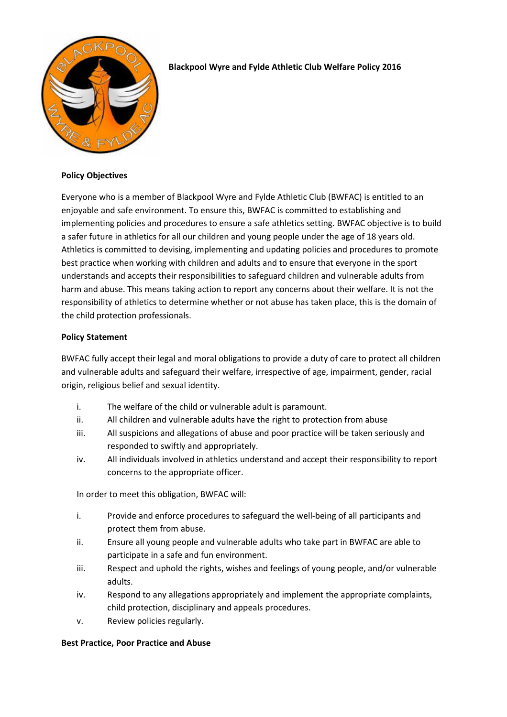

# **Blackpool Wyre and Fylde Athletic Club Welfare Policy 2016**

### **Policy Objectives**

Everyone who is a member of Blackpool Wyre and Fylde Athletic Club (BWFAC) is entitled to an enjoyable and safe environment. To ensure this, BWFAC is committed to establishing and implementing policies and procedures to ensure a safe athletics setting. BWFAC objective is to build a safer future in athletics for all our children and young people under the age of 18 years old. Athletics is committed to devising, implementing and updating policies and procedures to promote best practice when working with children and adults and to ensure that everyone in the sport understands and accepts their responsibilities to safeguard children and vulnerable adults from harm and abuse. This means taking action to report any concerns about their welfare. It is not the responsibility of athletics to determine whether or not abuse has taken place, this is the domain of the child protection professionals.

## **Policy Statement**

BWFAC fully accept their legal and moral obligations to provide a duty of care to protect all children and vulnerable adults and safeguard their welfare, irrespective of age, impairment, gender, racial origin, religious belief and sexual identity.

- i. The welfare of the child or vulnerable adult is paramount.
- ii. All children and vulnerable adults have the right to protection from abuse
- iii. All suspicions and allegations of abuse and poor practice will be taken seriously and responded to swiftly and appropriately.
- iv. All individuals involved in athletics understand and accept their responsibility to report concerns to the appropriate officer.

In order to meet this obligation, BWFAC will:

- i. Provide and enforce procedures to safeguard the well-being of all participants and protect them from abuse.
- ii. Ensure all young people and vulnerable adults who take part in BWFAC are able to participate in a safe and fun environment.
- iii. Respect and uphold the rights, wishes and feelings of young people, and/or vulnerable adults.
- iv. Respond to any allegations appropriately and implement the appropriate complaints, child protection, disciplinary and appeals procedures.
- v. Review policies regularly.

## **Best Practice, Poor Practice and Abuse**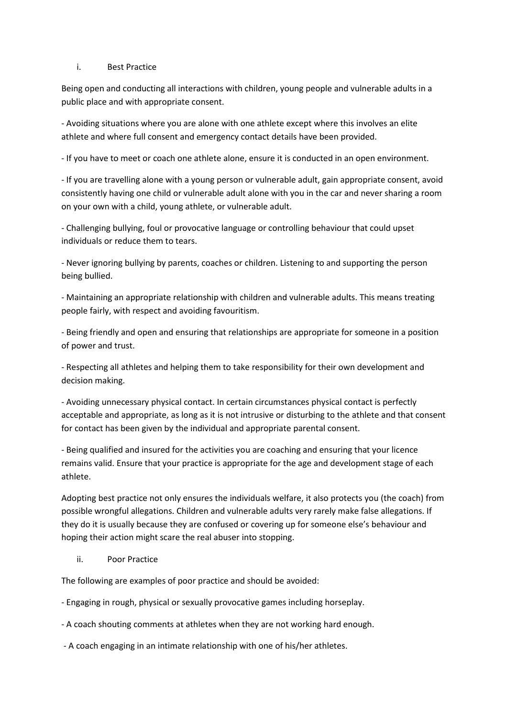#### i. Best Practice

Being open and conducting all interactions with children, young people and vulnerable adults in a public place and with appropriate consent.

- Avoiding situations where you are alone with one athlete except where this involves an elite athlete and where full consent and emergency contact details have been provided.

- If you have to meet or coach one athlete alone, ensure it is conducted in an open environment.

- If you are travelling alone with a young person or vulnerable adult, gain appropriate consent, avoid consistently having one child or vulnerable adult alone with you in the car and never sharing a room on your own with a child, young athlete, or vulnerable adult.

- Challenging bullying, foul or provocative language or controlling behaviour that could upset individuals or reduce them to tears.

- Never ignoring bullying by parents, coaches or children. Listening to and supporting the person being bullied.

- Maintaining an appropriate relationship with children and vulnerable adults. This means treating people fairly, with respect and avoiding favouritism.

- Being friendly and open and ensuring that relationships are appropriate for someone in a position of power and trust.

- Respecting all athletes and helping them to take responsibility for their own development and decision making.

- Avoiding unnecessary physical contact. In certain circumstances physical contact is perfectly acceptable and appropriate, as long as it is not intrusive or disturbing to the athlete and that consent for contact has been given by the individual and appropriate parental consent.

- Being qualified and insured for the activities you are coaching and ensuring that your licence remains valid. Ensure that your practice is appropriate for the age and development stage of each athlete.

Adopting best practice not only ensures the individuals welfare, it also protects you (the coach) from possible wrongful allegations. Children and vulnerable adults very rarely make false allegations. If they do it is usually because they are confused or covering up for someone else's behaviour and hoping their action might scare the real abuser into stopping.

## ii. Poor Practice

The following are examples of poor practice and should be avoided:

- Engaging in rough, physical or sexually provocative games including horseplay.

- A coach shouting comments at athletes when they are not working hard enough.

- A coach engaging in an intimate relationship with one of his/her athletes.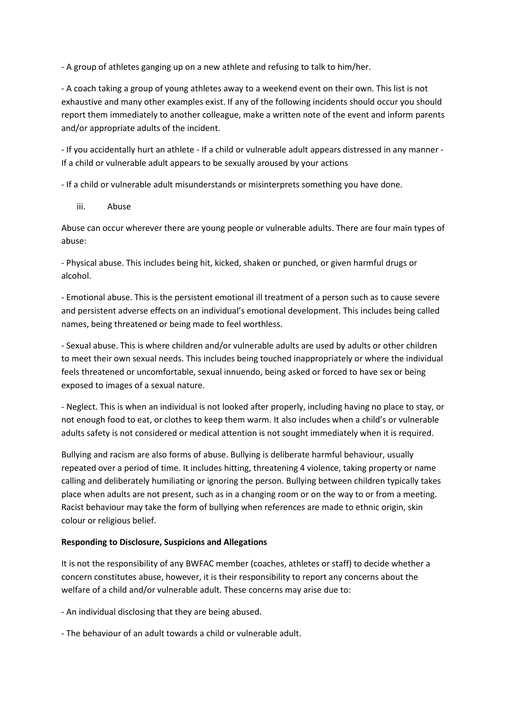- A group of athletes ganging up on a new athlete and refusing to talk to him/her.

- A coach taking a group of young athletes away to a weekend event on their own. This list is not exhaustive and many other examples exist. If any of the following incidents should occur you should report them immediately to another colleague, make a written note of the event and inform parents and/or appropriate adults of the incident.

- If you accidentally hurt an athlete - If a child or vulnerable adult appears distressed in any manner - If a child or vulnerable adult appears to be sexually aroused by your actions

- If a child or vulnerable adult misunderstands or misinterprets something you have done.

iii. Abuse

Abuse can occur wherever there are young people or vulnerable adults. There are four main types of abuse:

- Physical abuse. This includes being hit, kicked, shaken or punched, or given harmful drugs or alcohol.

- Emotional abuse. This is the persistent emotional ill treatment of a person such as to cause severe and persistent adverse effects on an individual's emotional development. This includes being called names, being threatened or being made to feel worthless.

- Sexual abuse. This is where children and/or vulnerable adults are used by adults or other children to meet their own sexual needs. This includes being touched inappropriately or where the individual feels threatened or uncomfortable, sexual innuendo, being asked or forced to have sex or being exposed to images of a sexual nature.

- Neglect. This is when an individual is not looked after properly, including having no place to stay, or not enough food to eat, or clothes to keep them warm. It also includes when a child's or vulnerable adults safety is not considered or medical attention is not sought immediately when it is required.

Bullying and racism are also forms of abuse. Bullying is deliberate harmful behaviour, usually repeated over a period of time. It includes hitting, threatening 4 violence, taking property or name calling and deliberately humiliating or ignoring the person. Bullying between children typically takes place when adults are not present, such as in a changing room or on the way to or from a meeting. Racist behaviour may take the form of bullying when references are made to ethnic origin, skin colour or religious belief.

## **Responding to Disclosure, Suspicions and Allegations**

It is not the responsibility of any BWFAC member (coaches, athletes or staff) to decide whether a concern constitutes abuse, however, it is their responsibility to report any concerns about the welfare of a child and/or vulnerable adult. These concerns may arise due to:

- An individual disclosing that they are being abused.

- The behaviour of an adult towards a child or vulnerable adult.